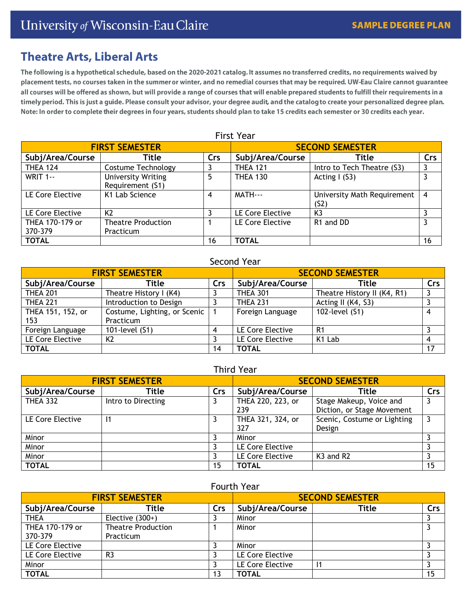# **Theatre Arts, Liberal Arts**

The following is a hypothetical schedule, based on the 2020-2021 catalog. It assumes no transferred credits, no requirements waived by placement tests, no courses taken in the summer or winter, and no remedial courses that may be required. UW-Eau Claire cannot guarantee all courses will be offered as shown, but will provide a range of courses that will enable prepared students to fulfill their requirements in a timely period. This is just a guide. Please consult your advisor, your degree audit, and the catalog to create your personalized degree plan. Note: In order to complete their degrees in four years, students should plan to take 15 credits each semester or 30 credits each year.

| <b>FIRST SEMESTER</b>      |                                               |     | <b>SECOND SEMESTER</b> |                                     |     |  |
|----------------------------|-----------------------------------------------|-----|------------------------|-------------------------------------|-----|--|
| Subj/Area/Course           | Title                                         | Crs | Subj/Area/Course       | Title                               | Crs |  |
| <b>THEA 124</b>            | Costume Technology                            |     | <b>THEA 121</b>        | Intro to Tech Theatre (S3)          | 3   |  |
| <b>WRIT 1--</b>            | <b>University Writing</b><br>Requirement (S1) | 5   | <b>THEA 130</b>        | Acting $I(53)$                      | 3   |  |
| LE Core Elective           | K1 Lab Science                                | 4   | MATH---                | University Math Requirement<br>(S2) | 4   |  |
| LE Core Elective           | K <sub>2</sub>                                |     | LE Core Elective       | K <sub>3</sub>                      |     |  |
| THEA 170-179 or<br>370-379 | <b>Theatre Production</b><br>Practicum        |     | LE Core Elective       | R1 and DD                           | 3   |  |
| <b>TOTAL</b>               |                                               | 16  | <b>TOTAL</b>           |                                     | 16  |  |

# First Year

# Second Year

| <b>FIRST SEMESTER</b> |                              |     | <b>SECOND SEMESTER</b> |                             |     |
|-----------------------|------------------------------|-----|------------------------|-----------------------------|-----|
| Subj/Area/Course      | Title                        | Crs | Subj/Area/Course       | Title                       | Crs |
| <b>THEA 201</b>       | Theatre History I (K4)       |     | <b>THEA 301</b>        | Theatre History II (K4, R1) |     |
| <b>THEA 221</b>       | Introduction to Design       |     | <b>THEA 231</b>        | Acting II (K4, S3)          |     |
| THEA 151, 152, or     | Costume, Lighting, or Scenic |     | Foreign Language       | 102-level (S1)              | 4   |
| 153                   | Practicum                    |     |                        |                             |     |
| Foreign Language      | 101-level (S1)               |     | LE Core Elective       | R1                          |     |
| LE Core Elective      | K <sub>2</sub>               |     | LE Core Elective       | K1 Lab                      | 4   |
| <b>TOTAL</b>          |                              | 14  | <b>TOTAL</b>           |                             | 17  |

# Third Year

| <b>FIRST SEMESTER</b> |                    |     | <b>SECOND SEMESTER</b>   |                                                       |     |
|-----------------------|--------------------|-----|--------------------------|-------------------------------------------------------|-----|
| Subj/Area/Course      | Title              | Crs | Subj/Area/Course         | Title                                                 | Crs |
| <b>THEA 332</b>       | Intro to Directing |     | THEA 220, 223, or<br>239 | Stage Makeup, Voice and<br>Diction, or Stage Movement |     |
| LE Core Elective      |                    |     | THEA 321, 324, or<br>327 | Scenic, Costume or Lighting<br>Design                 | 3   |
| Minor                 |                    |     | Minor                    |                                                       |     |
| Minor                 |                    |     | LE Core Elective         |                                                       |     |
| Minor                 |                    |     | LE Core Elective         | K <sub>3</sub> and R <sub>2</sub>                     |     |
| <b>TOTAL</b>          |                    | 15  | TOTAL                    |                                                       | 15  |

## Fourth Year

| <b>FIRST SEMESTER</b> |                           |     | <b>SECOND SEMESTER</b> |       |     |
|-----------------------|---------------------------|-----|------------------------|-------|-----|
| Subj/Area/Course      | Title                     | Crs | Subj/Area/Course       | Title | Crs |
| THEA                  | Elective $(300+)$         |     | Minor                  |       |     |
| THEA 170-179 or       | <b>Theatre Production</b> |     | Minor                  |       |     |
| 370-379               | Practicum                 |     |                        |       |     |
| LE Core Elective      |                           |     | Minor                  |       |     |
| LE Core Elective      | R <sub>3</sub>            |     | LE Core Elective       |       |     |
| Minor                 |                           |     | LE Core Elective       |       |     |
| <b>TOTAL</b>          |                           | 13  | <b>TOTAL</b>           |       | 15  |